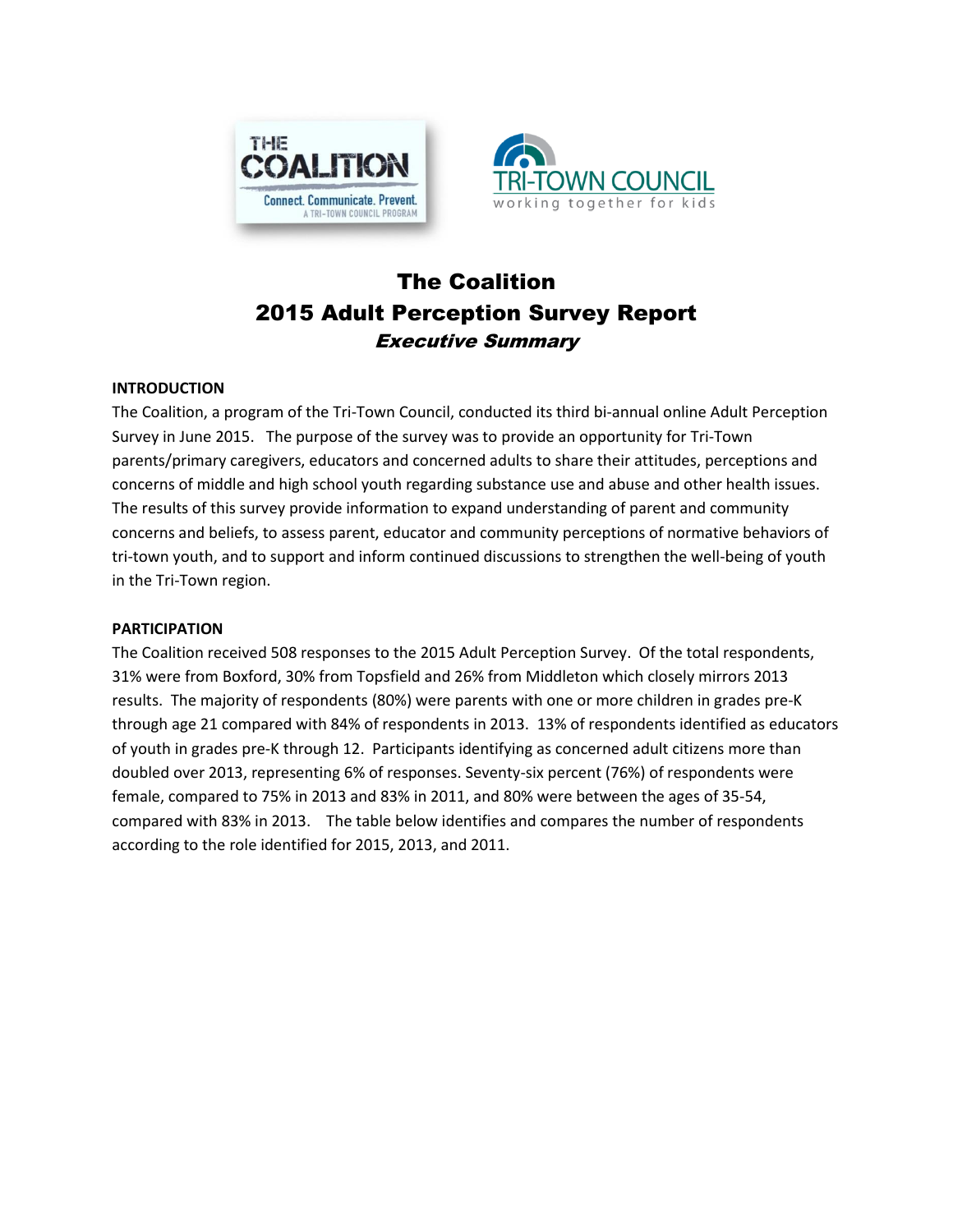



# The Coalition 2015 Adult Perception Survey Report Executive Summary

#### **INTRODUCTION**

The Coalition, a program of the Tri-Town Council, conducted its third bi-annual online Adult Perception Survey in June 2015. The purpose of the survey was to provide an opportunity for Tri-Town parents/primary caregivers, educators and concerned adults to share their attitudes, perceptions and concerns of middle and high school youth regarding substance use and abuse and other health issues. The results of this survey provide information to expand understanding of parent and community concerns and beliefs, to assess parent, educator and community perceptions of normative behaviors of tri-town youth, and to support and inform continued discussions to strengthen the well-being of youth in the Tri-Town region.

#### **PARTICIPATION**

The Coalition received 508 responses to the 2015 Adult Perception Survey. Of the total respondents, 31% were from Boxford, 30% from Topsfield and 26% from Middleton which closely mirrors 2013 results. The majority of respondents (80%) were parents with one or more children in grades pre-K through age 21 compared with 84% of respondents in 2013. 13% of respondents identified as educators of youth in grades pre-K through 12. Participants identifying as concerned adult citizens more than doubled over 2013, representing 6% of responses. Seventy-six percent (76%) of respondents were female, compared to 75% in 2013 and 83% in 2011, and 80% were between the ages of 35-54, compared with 83% in 2013. The table below identifies and compares the number of respondents according to the role identified for 2015, 2013, and 2011.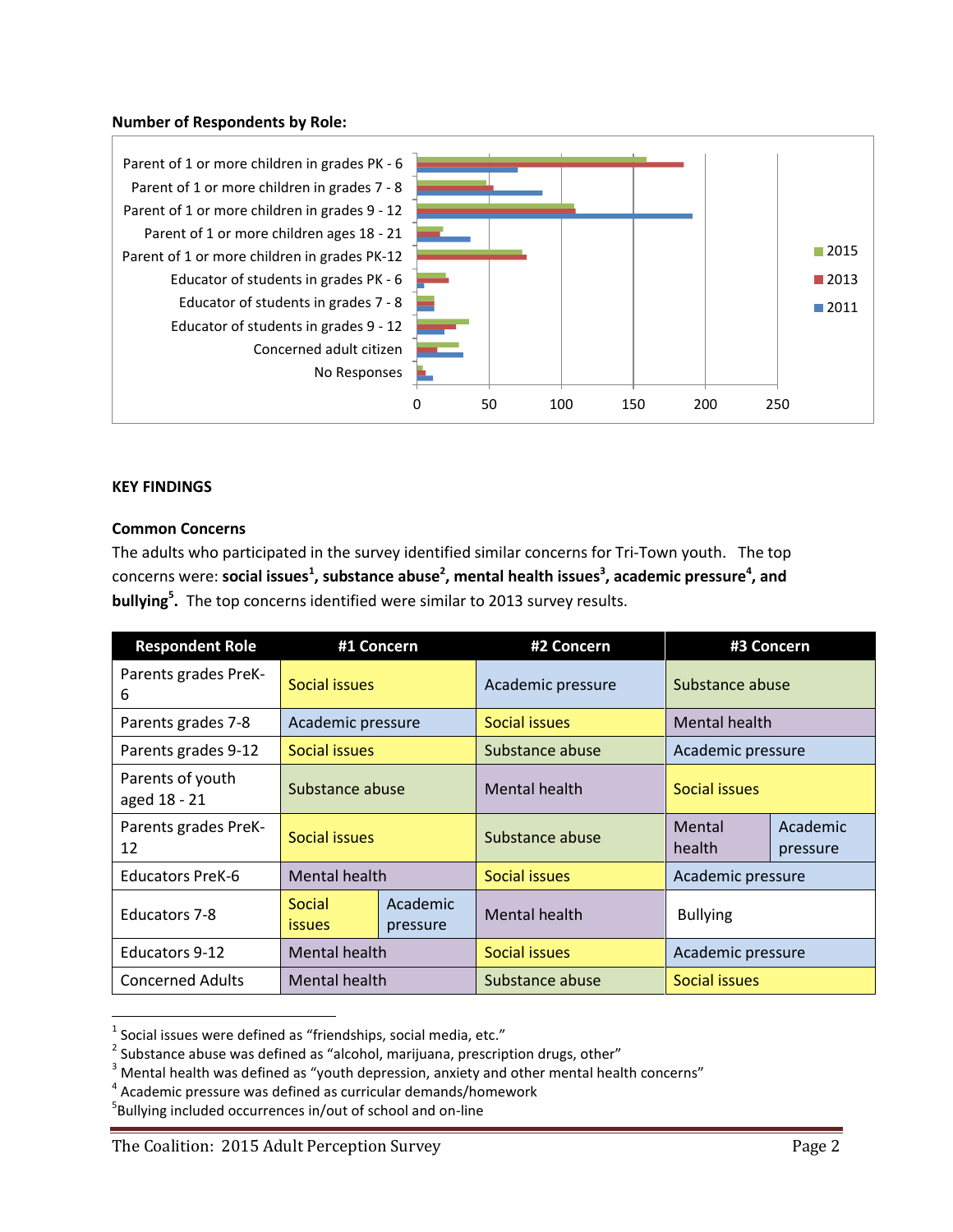#### **Number of Respondents by Role:**



#### **KEY FINDINGS**

l

#### **Common Concerns**

The adults who participated in the survey identified similar concerns for Tri-Town youth. The top concerns were: **social issues<sup>1</sup>, substance abuse<sup>2</sup>, mental health issues<sup>3</sup>, academic pressure<sup>4</sup>, and bullying<sup>5</sup> .** The top concerns identified were similar to 2013 survey results.

| <b>Respondent Role</b>           |                         | #1 Concern           | #2 Concern                     | #3 Concern        |                      |
|----------------------------------|-------------------------|----------------------|--------------------------------|-------------------|----------------------|
| Parents grades PreK-<br>6        | Social issues           |                      | Academic pressure              | Substance abuse   |                      |
| Parents grades 7-8               | Academic pressure       |                      | Social issues                  | Mental health     |                      |
| Parents grades 9-12              | Social issues           |                      | Substance abuse                | Academic pressure |                      |
| Parents of youth<br>aged 18 - 21 | Substance abuse         |                      | Mental health<br>Social issues |                   |                      |
| Parents grades PreK-<br>12       | Social issues           |                      | Substance abuse                | Mental<br>health  | Academic<br>pressure |
| <b>Educators PreK-6</b>          | Mental health           |                      | Social issues                  | Academic pressure |                      |
| <b>Educators 7-8</b>             | Social<br><i>issues</i> | Academic<br>pressure | <b>Mental health</b>           | <b>Bullying</b>   |                      |
| <b>Educators 9-12</b>            | <b>Mental health</b>    |                      | Social issues                  | Academic pressure |                      |
| <b>Concerned Adults</b>          | Mental health           |                      | Substance abuse                | Social issues     |                      |

 $^{1}$  Social issues were defined as "friendships, social media, etc."

 $^2$  Substance abuse was defined as "alcohol, marijuana, prescription drugs, other"

 $3$  Mental health was defined as "youth depression, anxiety and other mental health concerns"

<sup>&</sup>lt;sup>4</sup> Academic pressure was defined as curricular demands/homework

<sup>5</sup> Bullying included occurrences in/out of school and on-line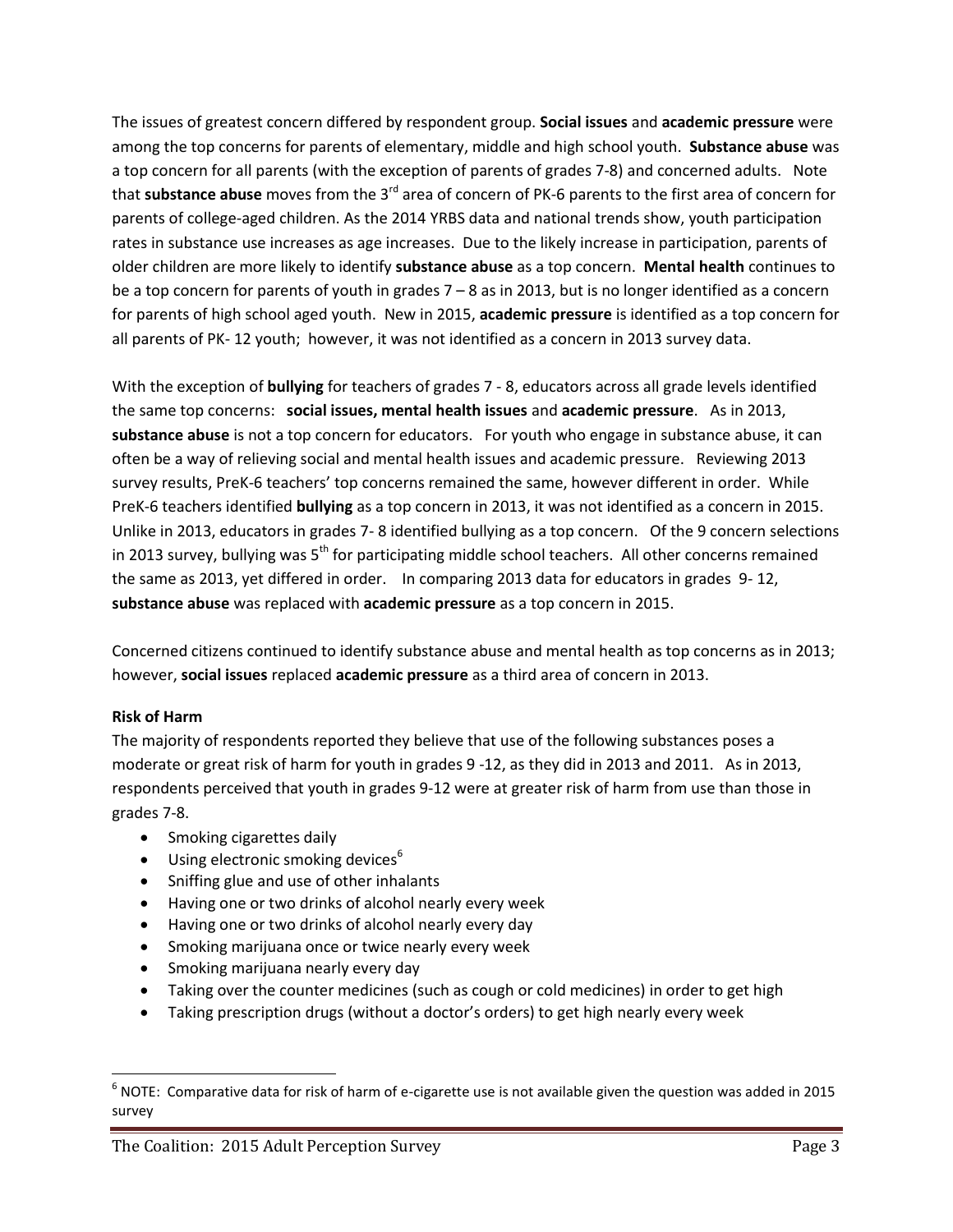The issues of greatest concern differed by respondent group. **Social issues** and **academic pressure** were among the top concerns for parents of elementary, middle and high school youth. **Substance abuse** was a top concern for all parents (with the exception of parents of grades 7-8) and concerned adults. Note that **substance abuse** moves from the 3rd area of concern of PK-6 parents to the first area of concern for parents of college-aged children. As the 2014 YRBS data and national trends show, youth participation rates in substance use increases as age increases. Due to the likely increase in participation, parents of older children are more likely to identify **substance abuse** as a top concern. **Mental health** continues to be a top concern for parents of youth in grades 7 – 8 as in 2013, but is no longer identified as a concern for parents of high school aged youth. New in 2015, **academic pressure** is identified as a top concern for all parents of PK- 12 youth; however, it was not identified as a concern in 2013 survey data.

With the exception of **bullying** for teachers of grades 7 - 8, educators across all grade levels identified the same top concerns: **social issues, mental health issues** and **academic pressure**. As in 2013, **substance abuse** is not a top concern for educators. For youth who engage in substance abuse, it can often be a way of relieving social and mental health issues and academic pressure. Reviewing 2013 survey results, PreK-6 teachers' top concerns remained the same, however different in order. While PreK-6 teachers identified **bullying** as a top concern in 2013, it was not identified as a concern in 2015. Unlike in 2013, educators in grades 7- 8 identified bullying as a top concern. Of the 9 concern selections in 2013 survey, bullying was  $5<sup>th</sup>$  for participating middle school teachers. All other concerns remained the same as 2013, yet differed in order. In comparing 2013 data for educators in grades 9- 12, **substance abuse** was replaced with **academic pressure** as a top concern in 2015.

Concerned citizens continued to identify substance abuse and mental health as top concerns as in 2013; however, **social issues** replaced **academic pressure** as a third area of concern in 2013.

## **Risk of Harm**

l

The majority of respondents reported they believe that use of the following substances poses a moderate or great risk of harm for youth in grades 9 -12, as they did in 2013 and 2011. As in 2013, respondents perceived that youth in grades 9-12 were at greater risk of harm from use than those in grades 7-8.

- Smoking cigarettes daily
- $\bullet$  Using electronic smoking devices<sup>6</sup>
- Sniffing glue and use of other inhalants
- Having one or two drinks of alcohol nearly every week
- Having one or two drinks of alcohol nearly every day
- Smoking marijuana once or twice nearly every week
- Smoking marijuana nearly every day
- Taking over the counter medicines (such as cough or cold medicines) in order to get high
- Taking prescription drugs (without a doctor's orders) to get high nearly every week

 $^6$  NOTE: Comparative data for risk of harm of e-cigarette use is not available given the question was added in 2015 survey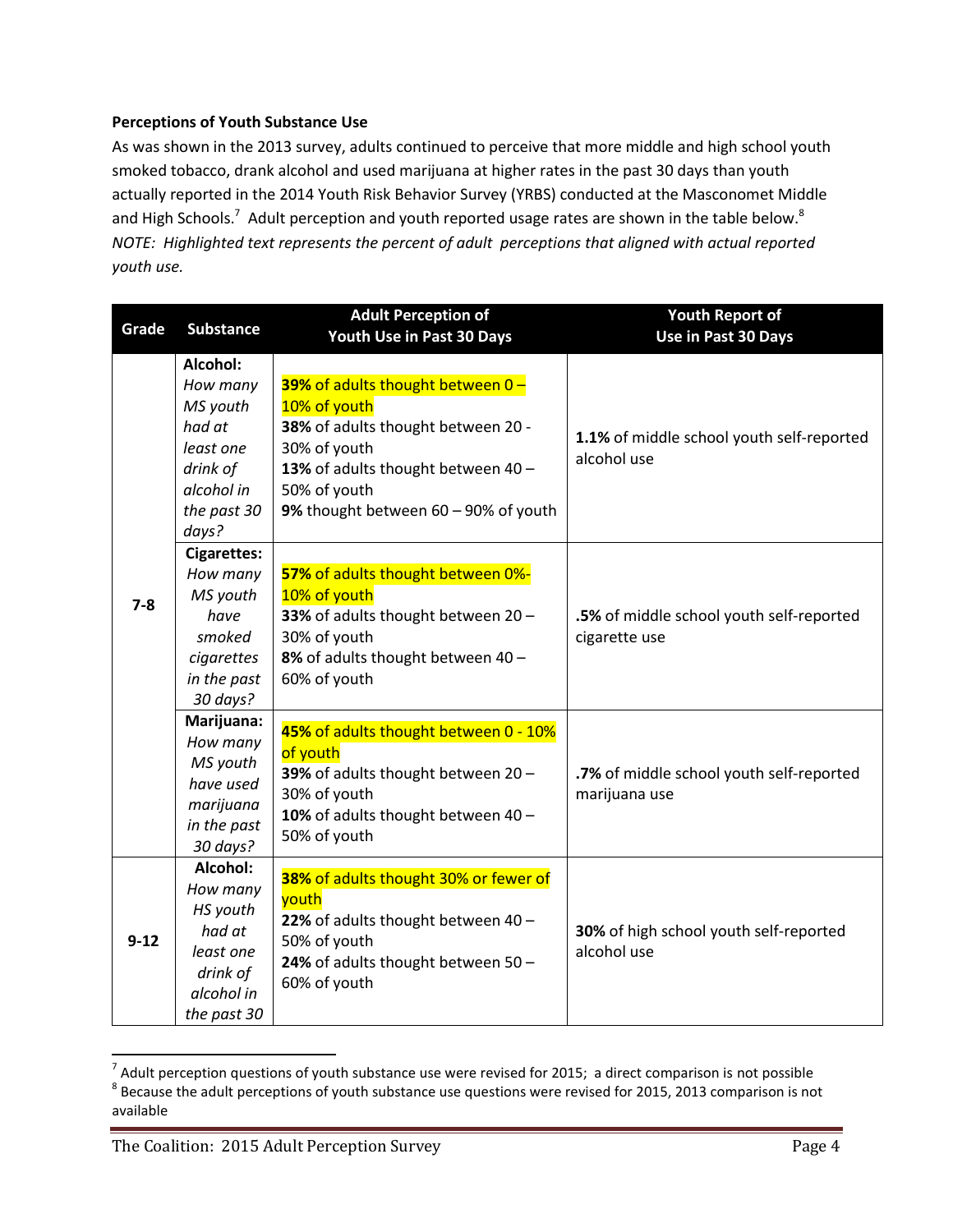#### **Perceptions of Youth Substance Use**

As was shown in the 2013 survey, adults continued to perceive that more middle and high school youth smoked tobacco, drank alcohol and used marijuana at higher rates in the past 30 days than youth actually reported in the 2014 Youth Risk Behavior Survey (YRBS) conducted at the Masconomet Middle and High Schools.<sup>7</sup> Adult perception and youth reported usage rates are shown in the table below.<sup>8</sup> *NOTE: Highlighted text represents the percent of adult perceptions that aligned with actual reported youth use.*

| Grade    | <b>Substance</b>                                                                                          | <b>Adult Perception of</b>                                                                                                                                                                           | <b>Youth Report of</b>                                    |  |
|----------|-----------------------------------------------------------------------------------------------------------|------------------------------------------------------------------------------------------------------------------------------------------------------------------------------------------------------|-----------------------------------------------------------|--|
|          |                                                                                                           | Youth Use in Past 30 Days                                                                                                                                                                            | Use in Past 30 Days                                       |  |
|          | Alcohol:<br>How many<br>MS youth<br>had at<br>least one<br>drink of<br>alcohol in<br>the past 30<br>days? | 39% of adults thought between 0-<br>10% of youth<br>38% of adults thought between 20 -<br>30% of youth<br>13% of adults thought between 40 -<br>50% of youth<br>9% thought between 60 - 90% of youth | 1.1% of middle school youth self-reported<br>alcohol use  |  |
| $7 - 8$  | <b>Cigarettes:</b><br>How many<br>MS youth<br>have<br>smoked<br>cigarettes<br>in the past<br>30 days?     | 57% of adults thought between 0%-<br>10% of youth<br>33% of adults thought between 20-<br>30% of youth<br>8% of adults thought between 40 -<br>60% of youth                                          | .5% of middle school youth self-reported<br>cigarette use |  |
|          | Marijuana:<br>How many<br>MS youth<br>have used<br>marijuana<br>in the past<br>30 days?                   | 45% of adults thought between 0 - 10%<br>of youth<br>39% of adults thought between 20-<br>30% of youth<br>10% of adults thought between 40 -<br>50% of youth                                         | .7% of middle school youth self-reported<br>marijuana use |  |
| $9 - 12$ | Alcohol:<br>How many<br>HS youth<br>had at<br>least one<br>drink of<br>alcohol in<br>the past 30          | 38% of adults thought 30% or fewer of<br>youth<br>22% of adults thought between 40 -<br>50% of youth<br>24% of adults thought between 50 -<br>60% of youth                                           | 30% of high school youth self-reported<br>alcohol use     |  |

 $^7$  Adult perception questions of youth substance use were revised for 2015; a direct comparison is not possible  $^8$  Because the adult perceptions of youth substance use questions were revised for 2015, 2013 comparison is not available

 $\overline{\phantom{a}}$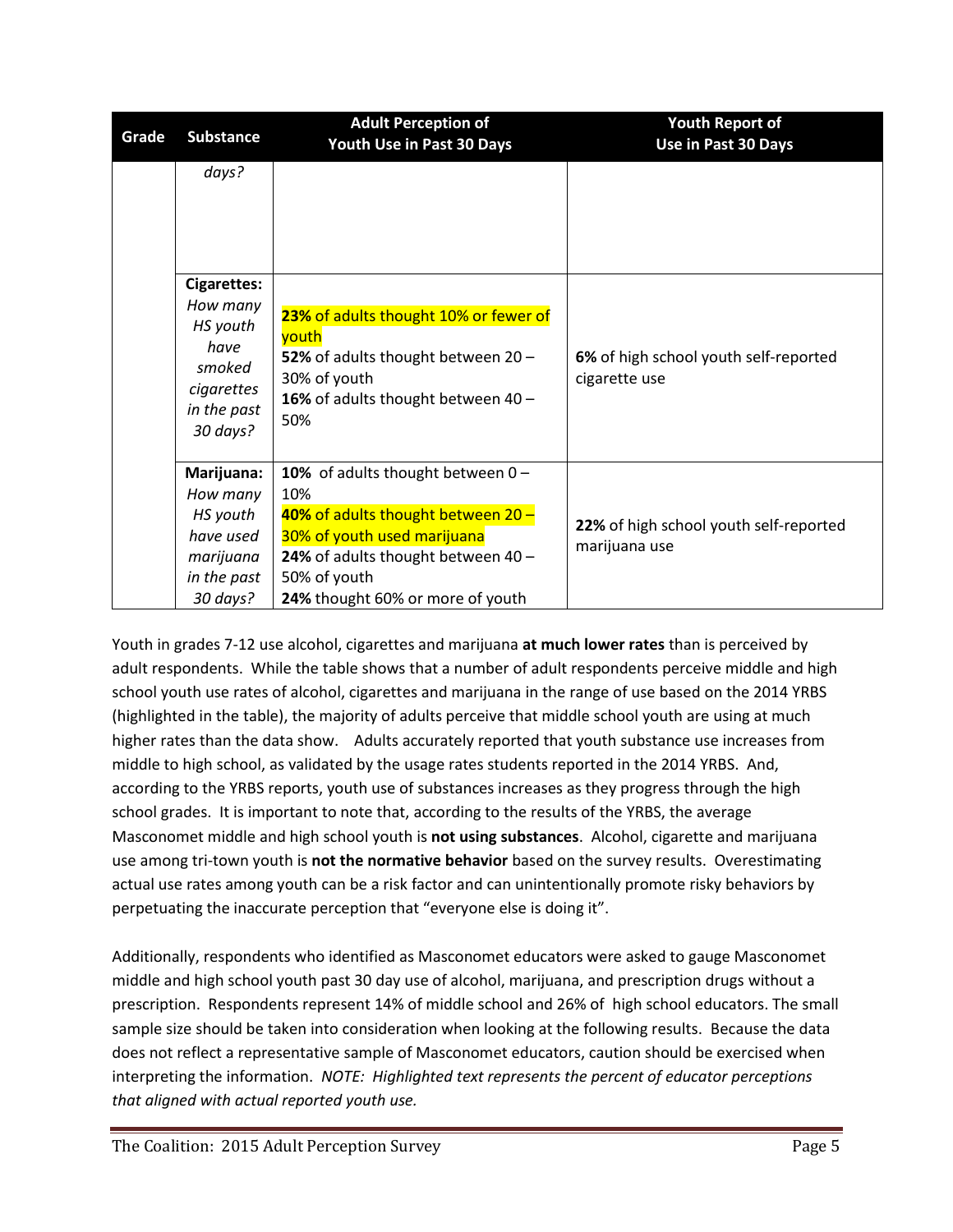| Grade | <b>Substance</b>                                                                                      | <b>Adult Perception of</b><br><b>Youth Use in Past 30 Days</b>                                                                                                                                              | <b>Youth Report of</b><br>Use in Past 30 Days           |  |
|-------|-------------------------------------------------------------------------------------------------------|-------------------------------------------------------------------------------------------------------------------------------------------------------------------------------------------------------------|---------------------------------------------------------|--|
|       | days?                                                                                                 |                                                                                                                                                                                                             |                                                         |  |
|       | <b>Cigarettes:</b><br>How many<br>HS youth<br>have<br>smoked<br>cigarettes<br>in the past<br>30 days? | 23% of adults thought 10% or fewer of<br>youth<br>52% of adults thought between 20 -<br>30% of youth<br>16% of adults thought between $40 -$<br>50%                                                         | 6% of high school youth self-reported<br>cigarette use  |  |
|       | Marijuana:<br>How many<br>HS youth<br>have used<br>marijuana<br>in the past<br>30 days?               | 10% of adults thought between $0 -$<br>10%<br>40% of adults thought between 20 -<br>30% of youth used marijuana<br>24% of adults thought between $40 -$<br>50% of youth<br>24% thought 60% or more of youth | 22% of high school youth self-reported<br>marijuana use |  |

Youth in grades 7-12 use alcohol, cigarettes and marijuana **at much lower rates** than is perceived by adult respondents. While the table shows that a number of adult respondents perceive middle and high school youth use rates of alcohol, cigarettes and marijuana in the range of use based on the 2014 YRBS (highlighted in the table), the majority of adults perceive that middle school youth are using at much higher rates than the data show. Adults accurately reported that youth substance use increases from middle to high school, as validated by the usage rates students reported in the 2014 YRBS. And, according to the YRBS reports, youth use of substances increases as they progress through the high school grades. It is important to note that, according to the results of the YRBS, the average Masconomet middle and high school youth is **not using substances**. Alcohol, cigarette and marijuana use among tri-town youth is **not the normative behavior** based on the survey results. Overestimating actual use rates among youth can be a risk factor and can unintentionally promote risky behaviors by perpetuating the inaccurate perception that "everyone else is doing it".

Additionally, respondents who identified as Masconomet educators were asked to gauge Masconomet middle and high school youth past 30 day use of alcohol, marijuana, and prescription drugs without a prescription. Respondents represent 14% of middle school and 26% of high school educators. The small sample size should be taken into consideration when looking at the following results. Because the data does not reflect a representative sample of Masconomet educators, caution should be exercised when interpreting the information. *NOTE: Highlighted text represents the percent of educator perceptions that aligned with actual reported youth use.*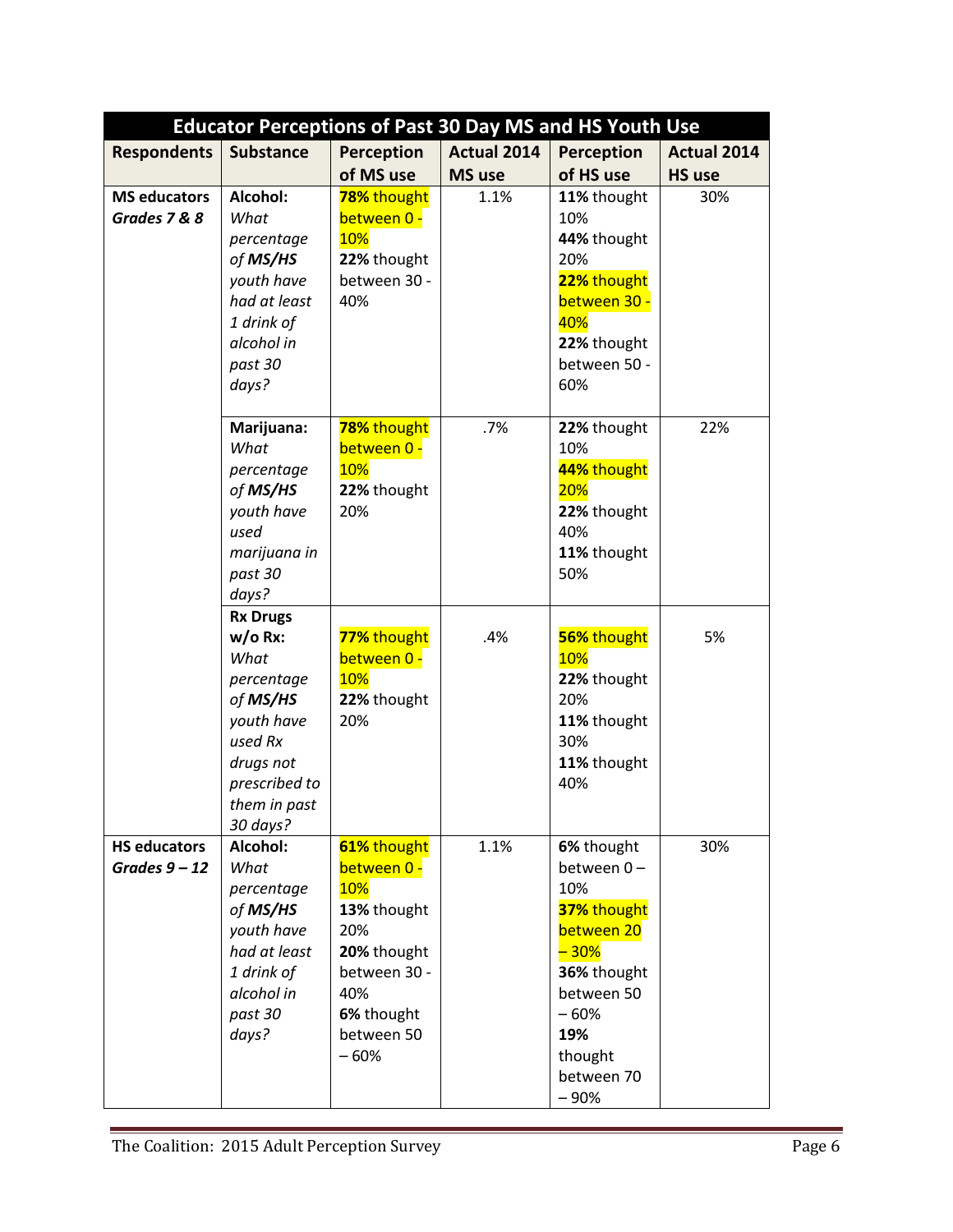|                                        |                                                                                                                                                    |                                                                                                                                     |               | <b>Educator Perceptions of Past 30 Day MS and HS Youth Use</b>                                                                                          |                    |
|----------------------------------------|----------------------------------------------------------------------------------------------------------------------------------------------------|-------------------------------------------------------------------------------------------------------------------------------------|---------------|---------------------------------------------------------------------------------------------------------------------------------------------------------|--------------------|
| <b>Respondents</b>                     | <b>Substance</b>                                                                                                                                   | <b>Perception</b>                                                                                                                   | Actual 2014   | <b>Perception</b>                                                                                                                                       | <b>Actual 2014</b> |
|                                        |                                                                                                                                                    | of MS use                                                                                                                           | <b>MS</b> use | of HS use                                                                                                                                               | <b>HS use</b>      |
| <b>MS educators</b><br>Grades 7 & 8    | Alcohol:<br>What<br>percentage<br>of MS/HS<br>youth have<br>had at least<br>1 drink of<br>alcohol in<br>past 30<br>days?                           | 78% thought<br>between 0 -<br><b>10%</b><br>22% thought<br>between 30 -<br>40%                                                      | 1.1%          | 11% thought<br>10%<br>44% thought<br>20%<br>22% thought<br>between 30 -<br>40%<br>22% thought<br>between 50 -<br>60%                                    | 30%                |
|                                        | Marijuana:<br>What<br>percentage<br>of MS/HS<br>youth have<br>used<br>marijuana in<br>past 30<br>days?                                             | 78% thought<br>between 0 -<br><b>10%</b><br>22% thought<br>20%                                                                      | .7%           | 22% thought<br>10%<br>44% thought<br><b>20%</b><br>22% thought<br>40%<br>11% thought<br>50%                                                             | 22%                |
|                                        | <b>Rx Drugs</b><br>$w/o Rx$ :<br>What<br>percentage<br>of MS/HS<br>youth have<br>used Rx<br>drugs not<br>prescribed to<br>them in past<br>30 days? | 77% thought<br>between 0 -<br>10%<br>22% thought<br>20%                                                                             | .4%           | 56% thought<br>10%<br>22% thought<br>20%<br>11% thought<br>30%<br>11% thought<br>40%                                                                    | 5%                 |
| <b>HS educators</b><br>Grades $9 - 12$ | Alcohol:<br>What<br>percentage<br>of MS/HS<br>youth have<br>had at least<br>1 drink of<br>alcohol in<br>past 30<br>days?                           | 61% thought<br>between 0 -<br>10%<br>13% thought<br>20%<br>20% thought<br>between 30 -<br>40%<br>6% thought<br>between 50<br>$-60%$ | 1.1%          | 6% thought<br>between 0-<br>10%<br>37% thought<br>between 20<br>$-30%$<br>36% thought<br>between 50<br>$-60%$<br>19%<br>thought<br>between 70<br>$-90%$ | 30%                |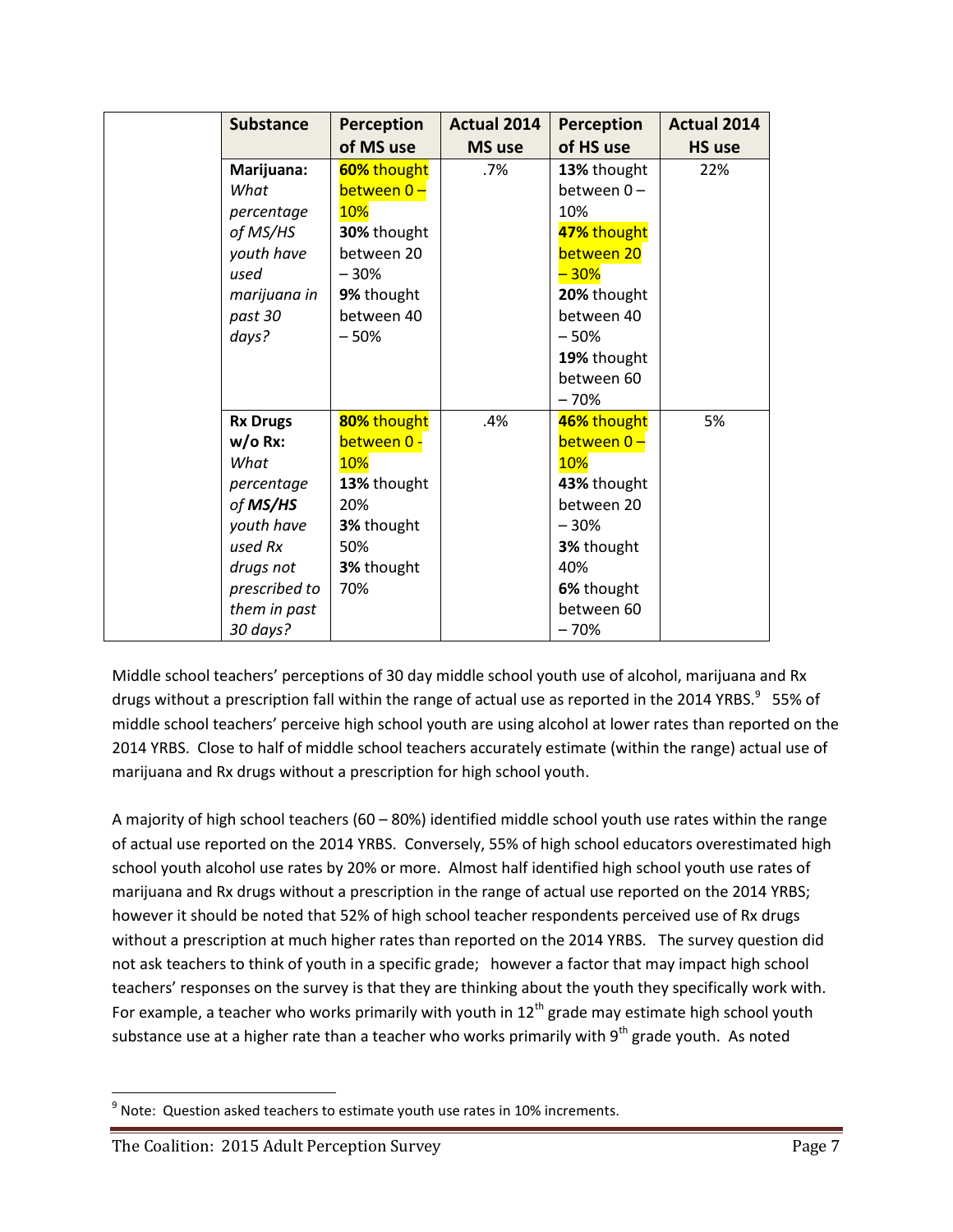| <b>Substance</b> | <b>Perception</b> | <b>Actual 2014</b> | Perception         | <b>Actual 2014</b> |
|------------------|-------------------|--------------------|--------------------|--------------------|
|                  | of MS use         | <b>MS</b> use      | of HS use          | <b>HS use</b>      |
| Marijuana:       | 60% thought       | $.7\%$             | 13% thought        | 22%                |
| What             | between 0-        |                    | between 0-         |                    |
| percentage       | 10%               |                    | 10%                |                    |
| of MS/HS         | 30% thought       |                    | 47% thought        |                    |
| youth have       | between 20        |                    | between 20         |                    |
| used             | $-30%$            |                    | <mark>– 30%</mark> |                    |
| marijuana in     | 9% thought        |                    | 20% thought        |                    |
| past 30          | between 40        |                    | between 40         |                    |
| days?            | $-50%$            |                    | $-50%$             |                    |
|                  |                   |                    | 19% thought        |                    |
|                  |                   |                    | between 60         |                    |
|                  |                   |                    | $-70%$             |                    |
| <b>Rx Drugs</b>  | 80% thought       | .4%                | 46% thought        | 5%                 |
| $w/o Rx$ :       | between 0 -       |                    | between 0-         |                    |
| What             | <b>10%</b>        |                    | 10%                |                    |
| percentage       | 13% thought       |                    | 43% thought        |                    |
| of MS/HS         | 20%               |                    | between 20         |                    |
| youth have       | 3% thought        |                    | $-30%$             |                    |
| used Rx          | 50%               |                    | 3% thought         |                    |
| drugs not        | 3% thought        |                    | 40%                |                    |
| prescribed to    | 70%               |                    | 6% thought         |                    |
| them in past     |                   |                    | between 60         |                    |
| 30 days?         |                   |                    | $-70%$             |                    |

Middle school teachers' perceptions of 30 day middle school youth use of alcohol, marijuana and Rx drugs without a prescription fall within the range of actual use as reported in the 2014 YRBS. $^9$  55% of middle school teachers' perceive high school youth are using alcohol at lower rates than reported on the 2014 YRBS. Close to half of middle school teachers accurately estimate (within the range) actual use of marijuana and Rx drugs without a prescription for high school youth.

A majority of high school teachers (60 – 80%) identified middle school youth use rates within the range of actual use reported on the 2014 YRBS. Conversely, 55% of high school educators overestimated high school youth alcohol use rates by 20% or more. Almost half identified high school youth use rates of marijuana and Rx drugs without a prescription in the range of actual use reported on the 2014 YRBS; however it should be noted that 52% of high school teacher respondents perceived use of Rx drugs without a prescription at much higher rates than reported on the 2014 YRBS. The survey question did not ask teachers to think of youth in a specific grade; however a factor that may impact high school teachers' responses on the survey is that they are thinking about the youth they specifically work with. For example, a teacher who works primarily with youth in  $12<sup>th</sup>$  grade may estimate high school youth substance use at a higher rate than a teacher who works primarily with  $9<sup>th</sup>$  grade youth. As noted

 $\overline{\phantom{a}}$  $<sup>9</sup>$  Note: Question asked teachers to estimate youth use rates in 10% increments.</sup>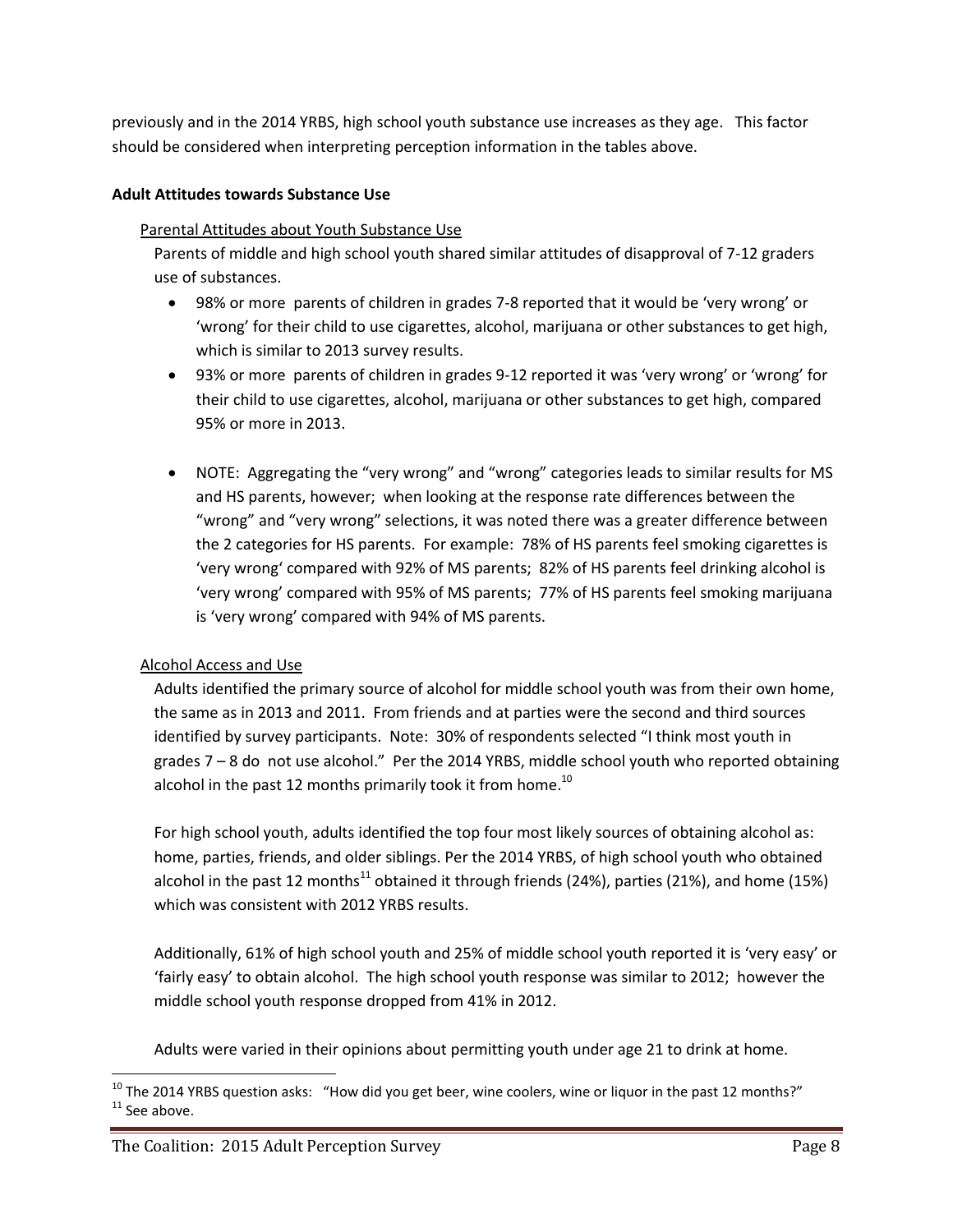previously and in the 2014 YRBS, high school youth substance use increases as they age. This factor should be considered when interpreting perception information in the tables above.

## **Adult Attitudes towards Substance Use**

#### Parental Attitudes about Youth Substance Use

Parents of middle and high school youth shared similar attitudes of disapproval of 7-12 graders use of substances.

- 98% or more parents of children in grades 7-8 reported that it would be 'very wrong' or 'wrong' for their child to use cigarettes, alcohol, marijuana or other substances to get high, which is similar to 2013 survey results.
- 93% or more parents of children in grades 9-12 reported it was 'very wrong' or 'wrong' for their child to use cigarettes, alcohol, marijuana or other substances to get high, compared 95% or more in 2013.
- NOTE: Aggregating the "very wrong" and "wrong" categories leads to similar results for MS and HS parents, however; when looking at the response rate differences between the "wrong" and "very wrong" selections, it was noted there was a greater difference between the 2 categories for HS parents. For example: 78% of HS parents feel smoking cigarettes is 'very wrong' compared with 92% of MS parents; 82% of HS parents feel drinking alcohol is 'very wrong' compared with 95% of MS parents; 77% of HS parents feel smoking marijuana is 'very wrong' compared with 94% of MS parents.

## Alcohol Access and Use

Adults identified the primary source of alcohol for middle school youth was from their own home, the same as in 2013 and 2011. From friends and at parties were the second and third sources identified by survey participants. Note: 30% of respondents selected "I think most youth in grades 7 – 8 do not use alcohol." Per the 2014 YRBS, middle school youth who reported obtaining alcohol in the past 12 months primarily took it from home.<sup>10</sup>

For high school youth, adults identified the top four most likely sources of obtaining alcohol as: home, parties, friends, and older siblings. Per the 2014 YRBS, of high school youth who obtained alcohol in the past 12 months<sup>11</sup> obtained it through friends (24%), parties (21%), and home (15%) which was consistent with 2012 YRBS results.

Additionally, 61% of high school youth and 25% of middle school youth reported it is 'very easy' or 'fairly easy' to obtain alcohol. The high school youth response was similar to 2012; however the middle school youth response dropped from 41% in 2012.

Adults were varied in their opinions about permitting youth under age 21 to drink at home.

l

 $10$  The 2014 YRBS question asks: "How did you get beer, wine coolers, wine or liquor in the past 12 months?"  $11$  See above.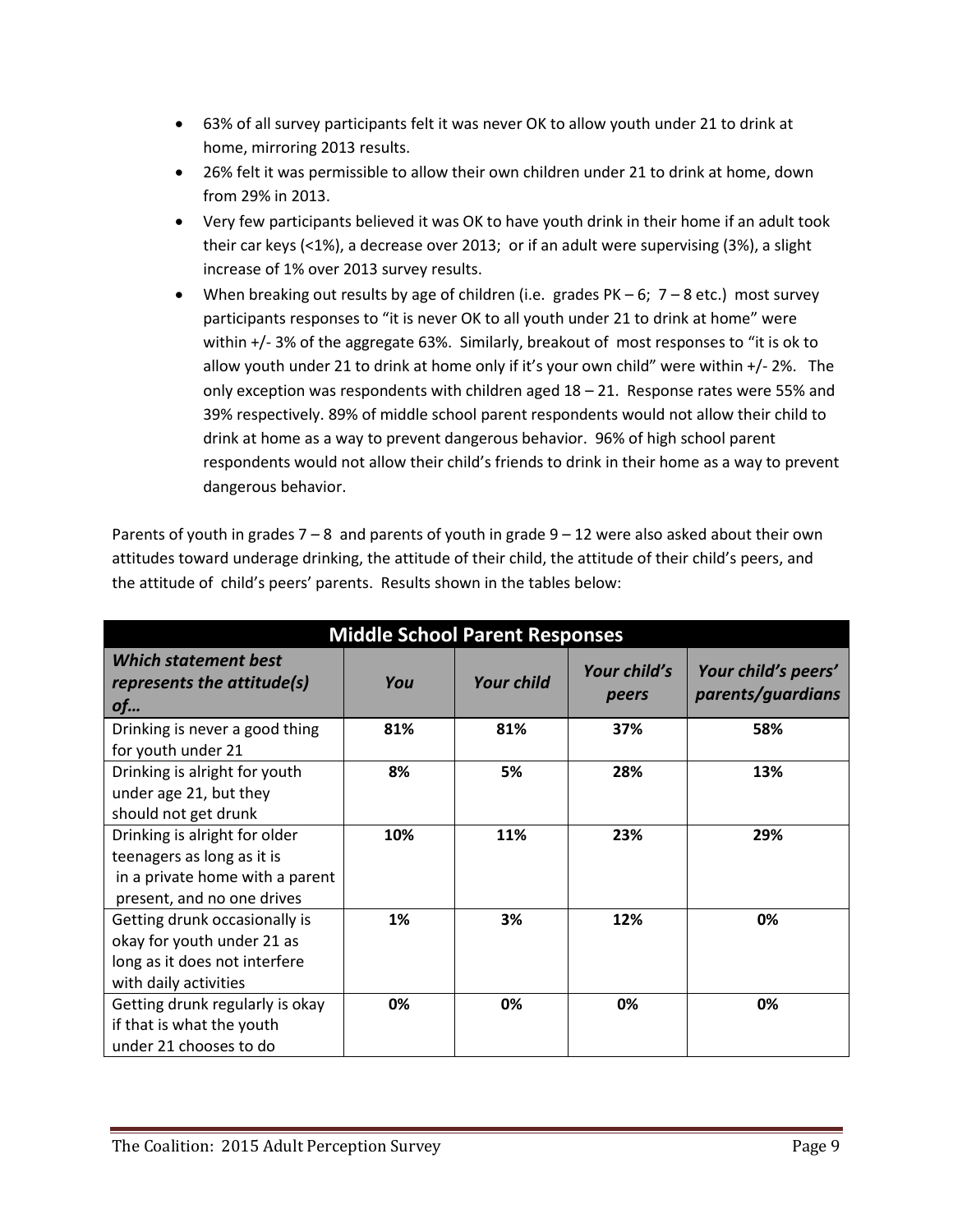- 63% of all survey participants felt it was never OK to allow youth under 21 to drink at home, mirroring 2013 results.
- 26% felt it was permissible to allow their own children under 21 to drink at home, down from 29% in 2013.
- Very few participants believed it was OK to have youth drink in their home if an adult took their car keys (<1%), a decrease over 2013; or if an adult were supervising (3%), a slight increase of 1% over 2013 survey results.
- When breaking out results by age of children (i.e. grades  $PK 6$ ;  $7 8$  etc.) most survey participants responses to "it is never OK to all youth under 21 to drink at home" were within +/- 3% of the aggregate 63%. Similarly, breakout of most responses to "it is ok to allow youth under 21 to drink at home only if it's your own child" were within +/- 2%. The only exception was respondents with children aged  $18 - 21$ . Response rates were 55% and 39% respectively. 89% of middle school parent respondents would not allow their child to drink at home as a way to prevent dangerous behavior. 96% of high school parent respondents would not allow their child's friends to drink in their home as a way to prevent dangerous behavior.

Parents of youth in grades  $7 - 8$  and parents of youth in grade  $9 - 12$  were also asked about their own attitudes toward underage drinking, the attitude of their child, the attitude of their child's peers, and the attitude of child's peers' parents. Results shown in the tables below:

| <b>Middle School Parent Responses</b>                                                                                        |     |                   |                       |                                          |  |
|------------------------------------------------------------------------------------------------------------------------------|-----|-------------------|-----------------------|------------------------------------------|--|
| <b>Which statement best</b><br>represents the attitude(s)<br>of                                                              | You | <b>Your child</b> | Your child's<br>peers | Your child's peers'<br>parents/guardians |  |
| Drinking is never a good thing<br>for youth under 21                                                                         | 81% | 81%               | 37%                   | 58%                                      |  |
| Drinking is alright for youth<br>under age 21, but they<br>should not get drunk                                              | 8%  | 5%                | 28%                   | 13%                                      |  |
| Drinking is alright for older<br>teenagers as long as it is<br>in a private home with a parent<br>present, and no one drives | 10% | 11%               | 23%                   | 29%                                      |  |
| Getting drunk occasionally is<br>okay for youth under 21 as<br>long as it does not interfere<br>with daily activities        | 1%  | 3%                | 12%                   | 0%                                       |  |
| Getting drunk regularly is okay<br>if that is what the youth<br>under 21 chooses to do                                       | 0%  | 0%                | 0%                    | 0%                                       |  |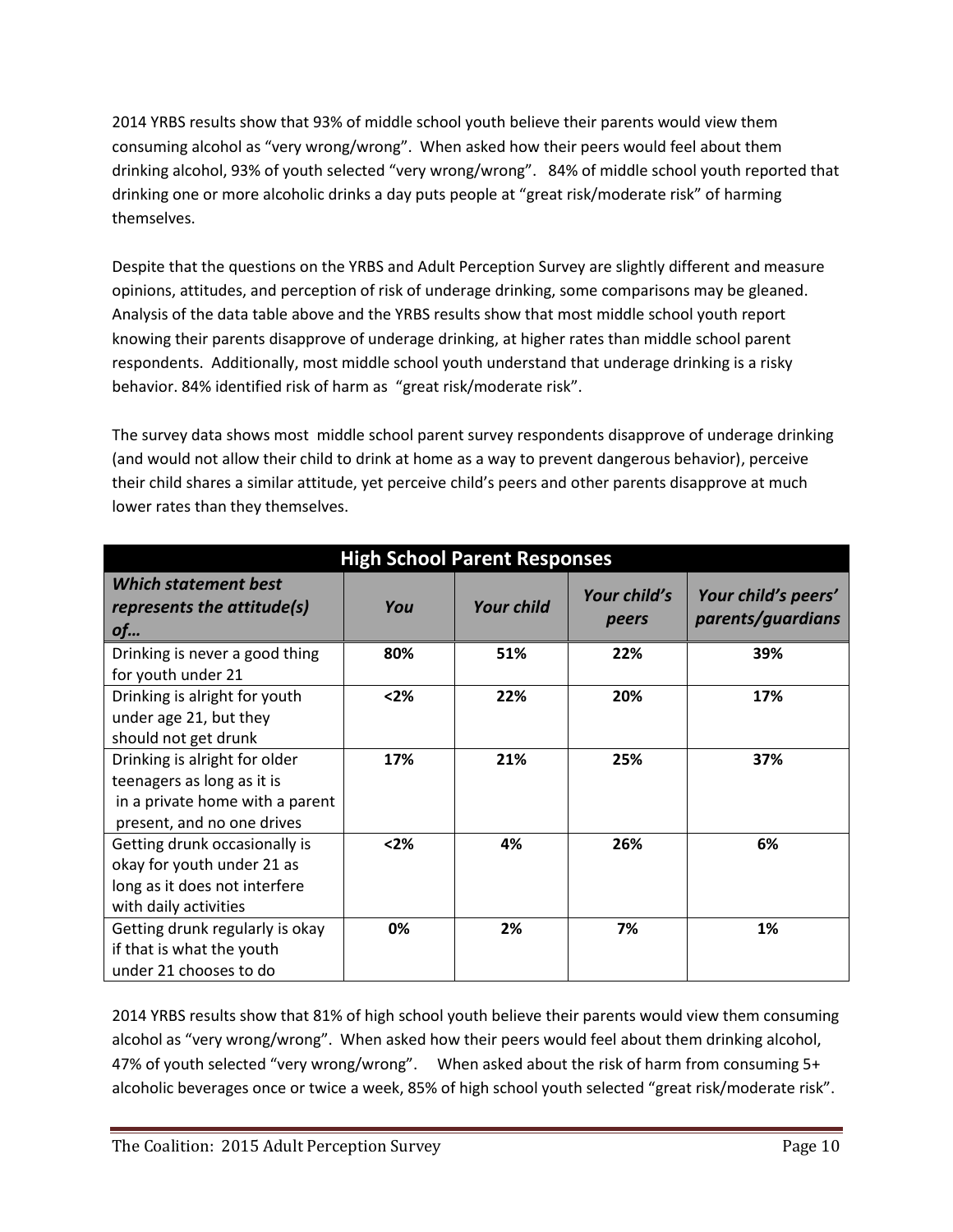2014 YRBS results show that 93% of middle school youth believe their parents would view them consuming alcohol as "very wrong/wrong". When asked how their peers would feel about them drinking alcohol, 93% of youth selected "very wrong/wrong". 84% of middle school youth reported that drinking one or more alcoholic drinks a day puts people at "great risk/moderate risk" of harming themselves.

Despite that the questions on the YRBS and Adult Perception Survey are slightly different and measure opinions, attitudes, and perception of risk of underage drinking, some comparisons may be gleaned. Analysis of the data table above and the YRBS results show that most middle school youth report knowing their parents disapprove of underage drinking, at higher rates than middle school parent respondents. Additionally, most middle school youth understand that underage drinking is a risky behavior. 84% identified risk of harm as "great risk/moderate risk".

The survey data shows most middle school parent survey respondents disapprove of underage drinking (and would not allow their child to drink at home as a way to prevent dangerous behavior), perceive their child shares a similar attitude, yet perceive child's peers and other parents disapprove at much lower rates than they themselves.

| <b>High School Parent Responses</b>                                                                                          |        |                   |                       |                                          |  |
|------------------------------------------------------------------------------------------------------------------------------|--------|-------------------|-----------------------|------------------------------------------|--|
| <b>Which statement best</b><br>represents the attitude(s)<br>of                                                              | You    | <b>Your child</b> | Your child's<br>peers | Your child's peers'<br>parents/guardians |  |
| Drinking is never a good thing<br>for youth under 21                                                                         | 80%    | 51%               | 22%                   | 39%                                      |  |
| Drinking is alright for youth<br>under age 21, but they<br>should not get drunk                                              | $2%$   | 22%               | 20%                   | 17%                                      |  |
| Drinking is alright for older<br>teenagers as long as it is<br>in a private home with a parent<br>present, and no one drives | 17%    | 21%               | 25%                   | 37%                                      |  |
| Getting drunk occasionally is<br>okay for youth under 21 as<br>long as it does not interfere<br>with daily activities        | $<$ 2% | 4%                | 26%                   | 6%                                       |  |
| Getting drunk regularly is okay<br>if that is what the youth<br>under 21 chooses to do                                       | 0%     | 2%                | 7%                    | 1%                                       |  |

2014 YRBS results show that 81% of high school youth believe their parents would view them consuming alcohol as "very wrong/wrong". When asked how their peers would feel about them drinking alcohol, 47% of youth selected "very wrong/wrong". When asked about the risk of harm from consuming 5+ alcoholic beverages once or twice a week, 85% of high school youth selected "great risk/moderate risk".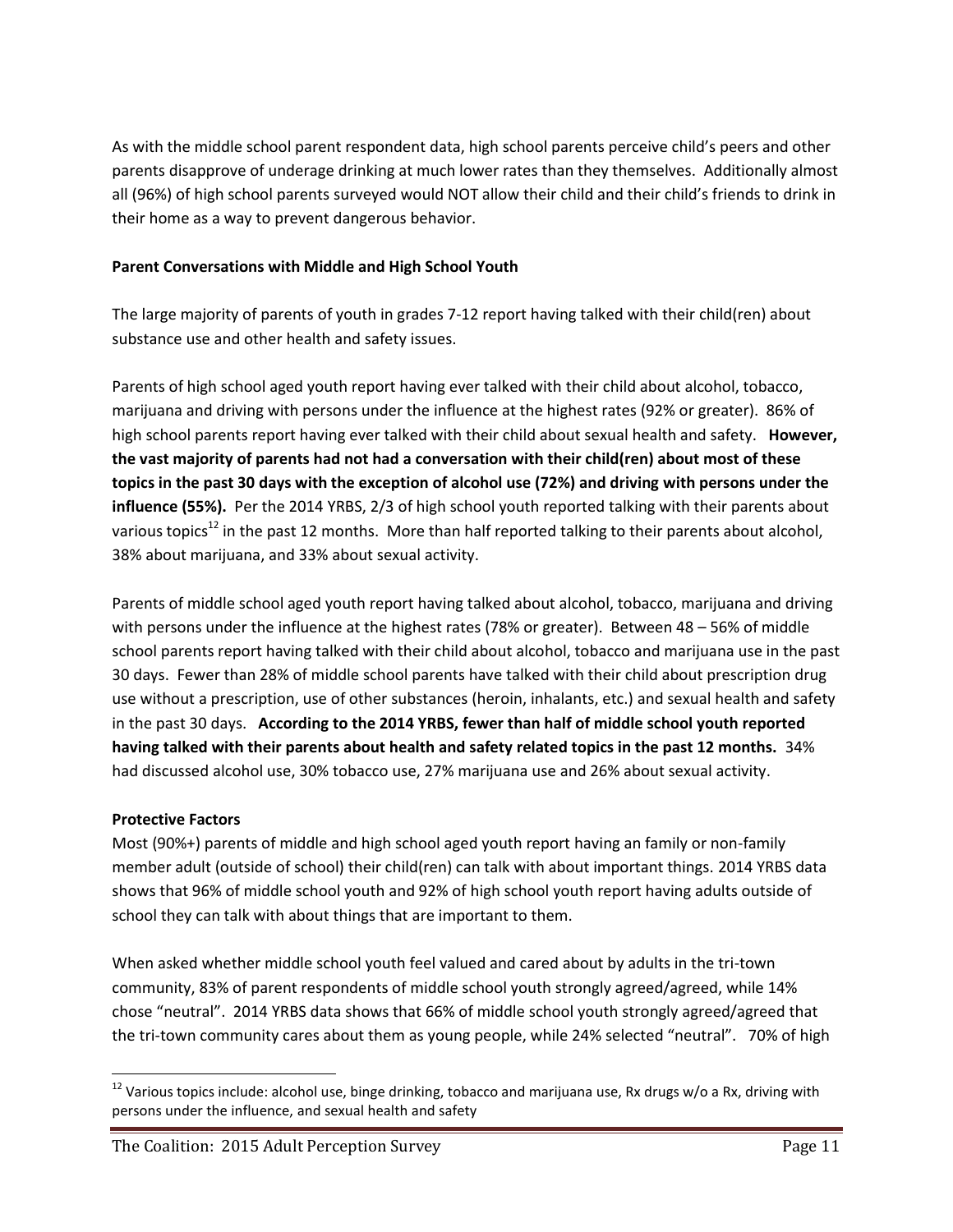As with the middle school parent respondent data, high school parents perceive child's peers and other parents disapprove of underage drinking at much lower rates than they themselves. Additionally almost all (96%) of high school parents surveyed would NOT allow their child and their child's friends to drink in their home as a way to prevent dangerous behavior.

## **Parent Conversations with Middle and High School Youth**

The large majority of parents of youth in grades 7-12 report having talked with their child(ren) about substance use and other health and safety issues.

Parents of high school aged youth report having ever talked with their child about alcohol, tobacco, marijuana and driving with persons under the influence at the highest rates (92% or greater). 86% of high school parents report having ever talked with their child about sexual health and safety. **However, the vast majority of parents had not had a conversation with their child(ren) about most of these topics in the past 30 days with the exception of alcohol use (72%) and driving with persons under the influence (55%).** Per the 2014 YRBS, 2/3 of high school youth reported talking with their parents about various topics<sup>12</sup> in the past 12 months. More than half reported talking to their parents about alcohol, 38% about marijuana, and 33% about sexual activity.

Parents of middle school aged youth report having talked about alcohol, tobacco, marijuana and driving with persons under the influence at the highest rates (78% or greater). Between 48 – 56% of middle school parents report having talked with their child about alcohol, tobacco and marijuana use in the past 30 days. Fewer than 28% of middle school parents have talked with their child about prescription drug use without a prescription, use of other substances (heroin, inhalants, etc.) and sexual health and safety in the past 30 days. **According to the 2014 YRBS, fewer than half of middle school youth reported having talked with their parents about health and safety related topics in the past 12 months.** 34% had discussed alcohol use, 30% tobacco use, 27% marijuana use and 26% about sexual activity.

## **Protective Factors**

Most (90%+) parents of middle and high school aged youth report having an family or non-family member adult (outside of school) their child(ren) can talk with about important things. 2014 YRBS data shows that 96% of middle school youth and 92% of high school youth report having adults outside of school they can talk with about things that are important to them.

When asked whether middle school youth feel valued and cared about by adults in the tri-town community, 83% of parent respondents of middle school youth strongly agreed/agreed, while 14% chose "neutral". 2014 YRBS data shows that 66% of middle school youth strongly agreed/agreed that the tri-town community cares about them as young people, while 24% selected "neutral". 70% of high

l  $12$  Various topics include: alcohol use, binge drinking, tobacco and marijuana use, Rx drugs w/o a Rx, driving with persons under the influence, and sexual health and safety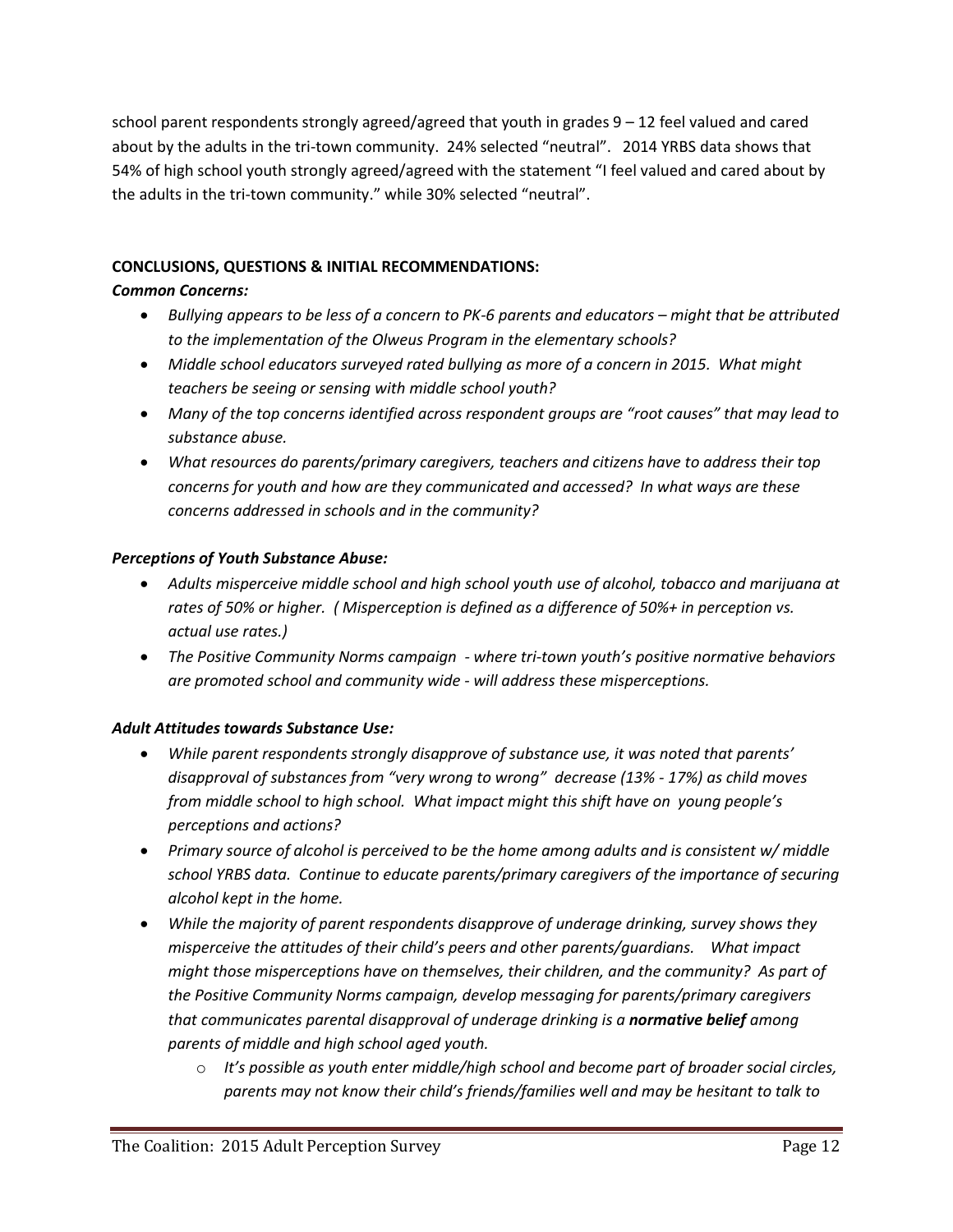school parent respondents strongly agreed/agreed that youth in grades 9 – 12 feel valued and cared about by the adults in the tri-town community. 24% selected "neutral". 2014 YRBS data shows that 54% of high school youth strongly agreed/agreed with the statement "I feel valued and cared about by the adults in the tri-town community." while 30% selected "neutral".

## **CONCLUSIONS, QUESTIONS & INITIAL RECOMMENDATIONS:**

## *Common Concerns:*

- **•** Bullying appears to be less of a concern to PK-6 parents and educators might that be attributed *to the implementation of the Olweus Program in the elementary schools?*
- *Middle school educators surveyed rated bullying as more of a concern in 2015. What might teachers be seeing or sensing with middle school youth?*
- *Many of the top concerns identified across respondent groups are "root causes" that may lead to substance abuse.*
- *What resources do parents/primary caregivers, teachers and citizens have to address their top concerns for youth and how are they communicated and accessed? In what ways are these concerns addressed in schools and in the community?*

## *Perceptions of Youth Substance Abuse:*

- *Adults misperceive middle school and high school youth use of alcohol, tobacco and marijuana at rates of 50% or higher. ( Misperception is defined as a difference of 50%+ in perception vs. actual use rates.)*
- *The Positive Community Norms campaign - where tri-town youth's positive normative behaviors are promoted school and community wide - will address these misperceptions.*

# *Adult Attitudes towards Substance Use:*

- *While parent respondents strongly disapprove of substance use, it was noted that parents' disapproval of substances from "very wrong to wrong" decrease (13% - 17%) as child moves from middle school to high school. What impact might this shift have on young people's perceptions and actions?*
- *Primary source of alcohol is perceived to be the home among adults and is consistent w/ middle school YRBS data. Continue to educate parents/primary caregivers of the importance of securing alcohol kept in the home.*
- *While the majority of parent respondents disapprove of underage drinking, survey shows they misperceive the attitudes of their child's peers and other parents/guardians. What impact might those misperceptions have on themselves, their children, and the community? As part of the Positive Community Norms campaign, develop messaging for parents/primary caregivers that communicates parental disapproval of underage drinking is a normative belief among parents of middle and high school aged youth.*
	- o *It's possible as youth enter middle/high school and become part of broader social circles, parents may not know their child's friends/families well and may be hesitant to talk to*